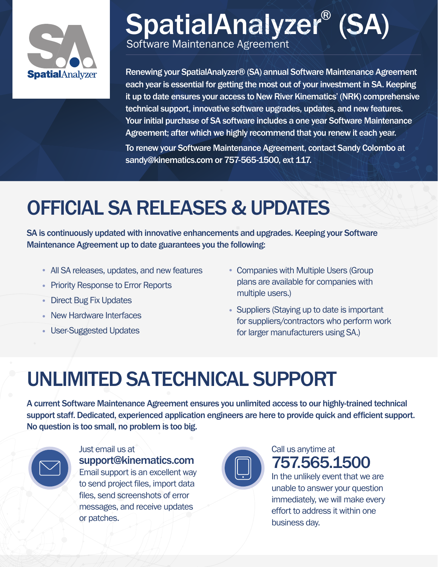

## SpatialAnalyzer® (SA) Software Maintenance Agreement

Renewing your SpatialAnalyzer® (SA) annual Software Maintenance Agreement each year is essential for getting the most out of your investment in SA. Keeping it up to date ensures your access to New River Kinematics' (NRK) comprehensive technical support, innovative software upgrades, updates, and new features. Your initial purchase of SA software includes a one year Software Maintenance Agreement; after which we highly recommend that you renew it each year.

To renew your Software Maintenance Agreement, contact Sandy Colombo at sandy@kinematics.com or 757-565-1500, ext 117.

# OFFICIAL SA RELEASES & UPDATES

SA is continuously updated with innovative enhancements and upgrades. Keeping your Software Maintenance Agreement up to date guarantees you the following:

- All SA releases, updates, and new features
- Priority Response to Error Reports
- Direct Bug Fix Updates
- New Hardware Interfaces
- User-Suggested Updates
- Companies with Multiple Users (Group plans are available for companies with multiple users.)
- Suppliers (Staying up to date is important for suppliers/contractors who perform work for larger manufacturers using SA.)

# UNLIMITED SATECHNICAL SUPPORT

A current Software Maintenance Agreement ensures you unlimited access to our highly-trained technical support staff. Dedicated, experienced application engineers are here to provide quick and efficient support. No question is too small, no problem is too big.



Just email us at support@kinematics.com Email support is an excellent way to send project files, import data files, send screenshots of error messages, and receive updates or patches.



## Call us anytime at 757.565.1500

In the unlikely event that we are unable to answer your question immediately, we will make every effort to address it within one business day.